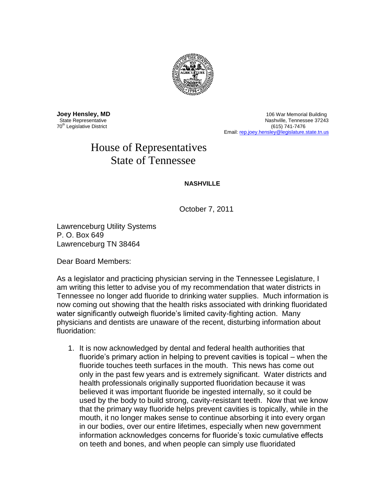

70<sup>th</sup> Legislative District

**Joey Hensley, MD**<br>
State Representative **106 War Memorial Building**<br>
State Representative **106 War Mashville, Tennessee 37243** Nashville, Tennessee 37243<br>(615) 741-7476 Email: [rep.joey.hensley@legislature.state.tn.us](mailto:rep.joey.hensley@legislature.state.tn.us)

## House of Representatives State of Tennessee

## **NASHVILLE**

October 7, 2011

Lawrenceburg Utility Systems P. O. Box 649 Lawrenceburg TN 38464

Dear Board Members:

As a legislator and practicing physician serving in the Tennessee Legislature, I am writing this letter to advise you of my recommendation that water districts in Tennessee no longer add fluoride to drinking water supplies. Much information is now coming out showing that the health risks associated with drinking fluoridated water significantly outweigh fluoride's limited cavity-fighting action. Many physicians and dentists are unaware of the recent, disturbing information about fluoridation:

1. It is now acknowledged by dental and federal health authorities that fluoride's primary action in helping to prevent cavities is topical – when the fluoride touches teeth surfaces in the mouth. This news has come out only in the past few years and is extremely significant. Water districts and health professionals originally supported fluoridation because it was believed it was important fluoride be ingested internally, so it could be used by the body to build strong, cavity-resistant teeth. Now that we know that the primary way fluoride helps prevent cavities is topically, while in the mouth, it no longer makes sense to continue absorbing it into every organ in our bodies, over our entire lifetimes, especially when new government information acknowledges concerns for fluoride's toxic cumulative effects on teeth and bones, and when people can simply use fluoridated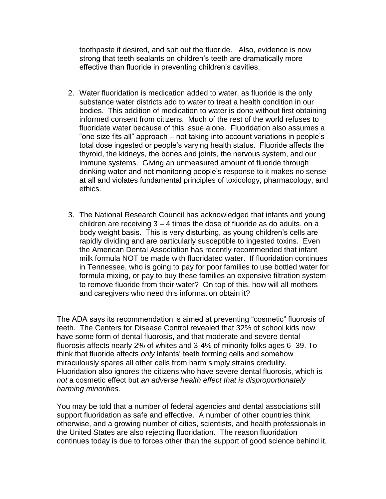toothpaste if desired, and spit out the fluoride. Also, evidence is now strong that teeth sealants on children's teeth are dramatically more effective than fluoride in preventing children's cavities.

- 2. Water fluoridation is medication added to water, as fluoride is the only substance water districts add to water to treat a health condition in our bodies. This addition of medication to water is done without first obtaining informed consent from citizens. Much of the rest of the world refuses to fluoridate water because of this issue alone. Fluoridation also assumes a "one size fits all" approach – not taking into account variations in people's total dose ingested or people's varying health status. Fluoride affects the thyroid, the kidneys, the bones and joints, the nervous system, and our immune systems. Giving an unmeasured amount of fluoride through drinking water and not monitoring people's response to it makes no sense at all and violates fundamental principles of toxicology, pharmacology, and ethics.
- 3. The National Research Council has acknowledged that infants and young children are receiving 3 – 4 times the dose of fluoride as do adults, on a body weight basis. This is very disturbing, as young children's cells are rapidly dividing and are particularly susceptible to ingested toxins. Even the American Dental Association has recently recommended that infant milk formula NOT be made with fluoridated water. If fluoridation continues in Tennessee, who is going to pay for poor families to use bottled water for formula mixing, or pay to buy these families an expensive filtration system to remove fluoride from their water? On top of this, how will all mothers and caregivers who need this information obtain it?

The ADA says its recommendation is aimed at preventing "cosmetic" fluorosis of teeth. The Centers for Disease Control revealed that 32% of school kids now have some form of dental fluorosis, and that moderate and severe dental fluorosis affects nearly 2% of whites and 3-4% of minority folks ages 6 -39. To think that fluoride affects *only* infants' teeth forming cells and somehow miraculously spares all other cells from harm simply strains credulity. Fluoridation also ignores the citizens who have severe dental fluorosis, which is *not* a cosmetic effect but *an adverse health effect that is disproportionately harming minorities.*

You may be told that a number of federal agencies and dental associations still support fluoridation as safe and effective. A number of other countries think otherwise, and a growing number of cities, scientists, and health professionals in the United States are also rejecting fluoridation. The reason fluoridation continues today is due to forces other than the support of good science behind it.